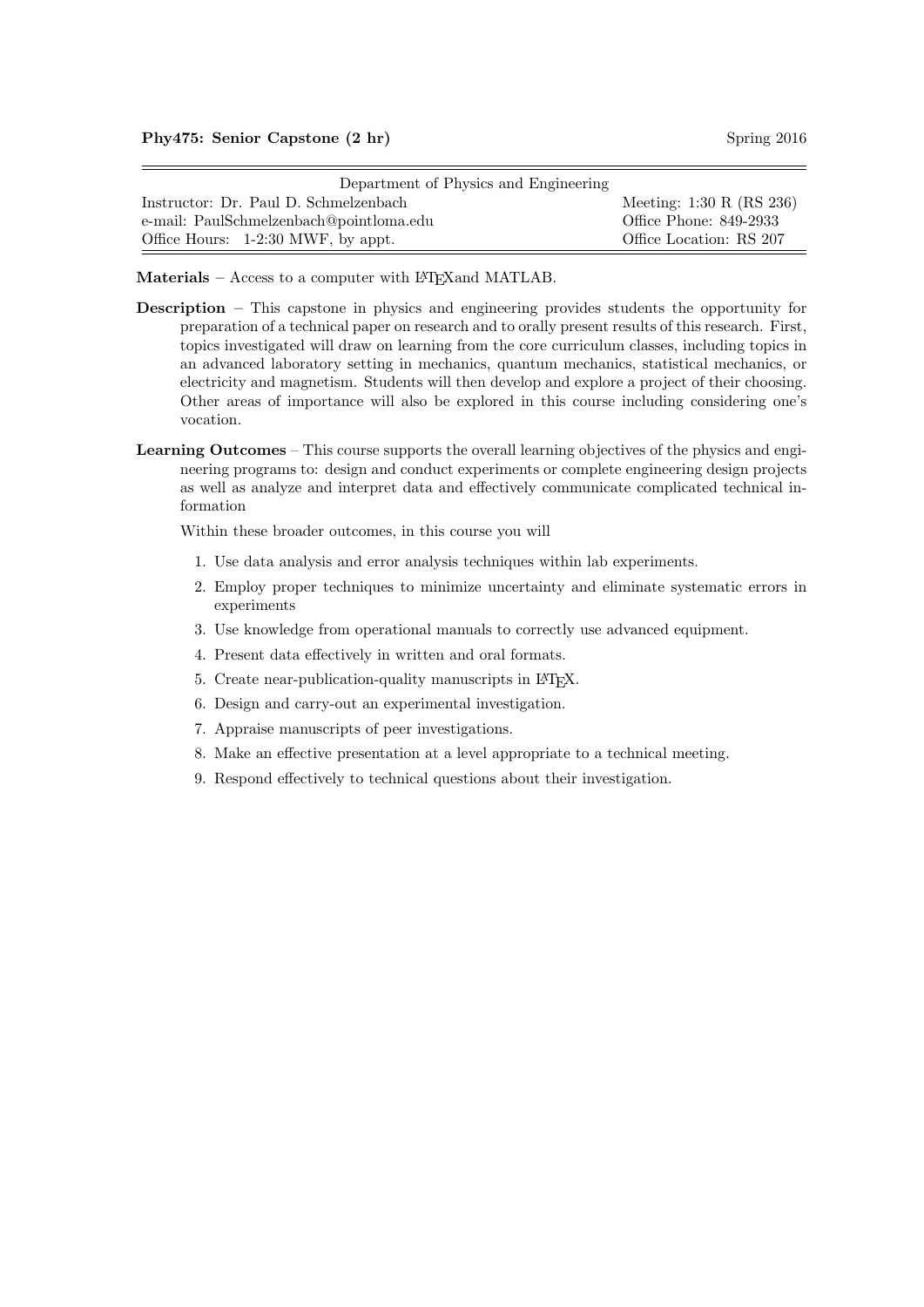## Phy475: Senior Capstone (2 hr) Spring 2016

| Department of Physics and Engineering   |                                             |
|-----------------------------------------|---------------------------------------------|
| Instructor: Dr. Paul D. Schmelzenbach   | Meeting: $1:30 \text{ R} \text{ (RS } 236)$ |
| e-mail: PaulSchmelzenbach@pointloma.edu | Office Phone: 849-2933                      |
| Office Hours: 1-2:30 MWF, by appt.      | Office Location: RS 207                     |

Materials – Access to a computer with LAT<sub>E</sub>X and MATLAB.

- Description This capstone in physics and engineering provides students the opportunity for preparation of a technical paper on research and to orally present results of this research. First, topics investigated will draw on learning from the core curriculum classes, including topics in an advanced laboratory setting in mechanics, quantum mechanics, statistical mechanics, or electricity and magnetism. Students will then develop and explore a project of their choosing. Other areas of importance will also be explored in this course including considering one's vocation.
- Learning Outcomes This course supports the overall learning objectives of the physics and engineering programs to: design and conduct experiments or complete engineering design projects as well as analyze and interpret data and effectively communicate complicated technical information

Within these broader outcomes, in this course you will

- 1. Use data analysis and error analysis techniques within lab experiments.
- 2. Employ proper techniques to minimize uncertainty and eliminate systematic errors in experiments
- 3. Use knowledge from operational manuals to correctly use advanced equipment.
- 4. Present data effectively in written and oral formats.
- 5. Create near-publication-quality manuscripts in L<sup>AT</sup>EX.
- 6. Design and carry-out an experimental investigation.
- 7. Appraise manuscripts of peer investigations.
- 8. Make an effective presentation at a level appropriate to a technical meeting.
- 9. Respond effectively to technical questions about their investigation.